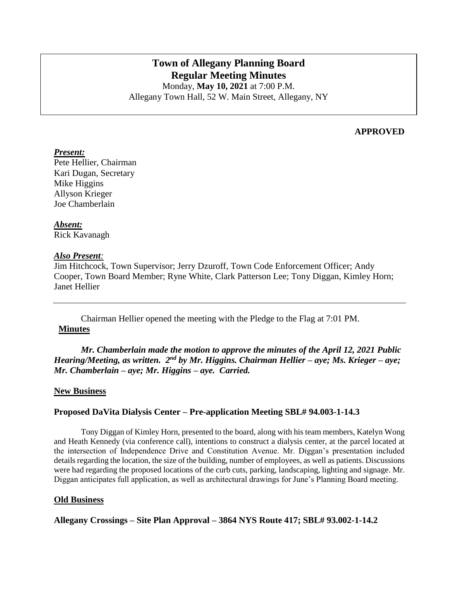# **Town of Allegany Planning Board Regular Meeting Minutes** Monday, **May 10, 2021** at 7:00 P.M.

Allegany Town Hall, 52 W. Main Street, Allegany, NY

#### **APPROVED**

#### *Present:*

Pete Hellier, Chairman Kari Dugan, Secretary Mike Higgins Allyson Krieger Joe Chamberlain

*Absent:* Rick Kavanagh

#### *Also Present:*

Jim Hitchcock, Town Supervisor; Jerry Dzuroff, Town Code Enforcement Officer; Andy Cooper, Town Board Member; Ryne White, Clark Patterson Lee; Tony Diggan, Kimley Horn; Janet Hellier

Chairman Hellier opened the meeting with the Pledge to the Flag at 7:01 PM. **Minutes**

*Mr. Chamberlain made the motion to approve the minutes of the April 12, 2021 Public*  Hearing/Meeting, as written. 2<sup>nd</sup> by Mr. Higgins. Chairman Hellier – aye; Ms. Krieger – aye; *Mr. Chamberlain – aye; Mr. Higgins – aye. Carried.*

### **New Business**

### **Proposed DaVita Dialysis Center – Pre-application Meeting SBL# 94.003-1-14.3**

Tony Diggan of Kimley Horn, presented to the board, along with his team members, Katelyn Wong and Heath Kennedy (via conference call), intentions to construct a dialysis center, at the parcel located at the intersection of Independence Drive and Constitution Avenue. Mr. Diggan's presentation included details regarding the location, the size of the building, number of employees, as well as patients. Discussions were had regarding the proposed locations of the curb cuts, parking, landscaping, lighting and signage. Mr. Diggan anticipates full application, as well as architectural drawings for June's Planning Board meeting.

#### **Old Business**

**Allegany Crossings – Site Plan Approval – 3864 NYS Route 417; SBL# 93.002-1-14.2**